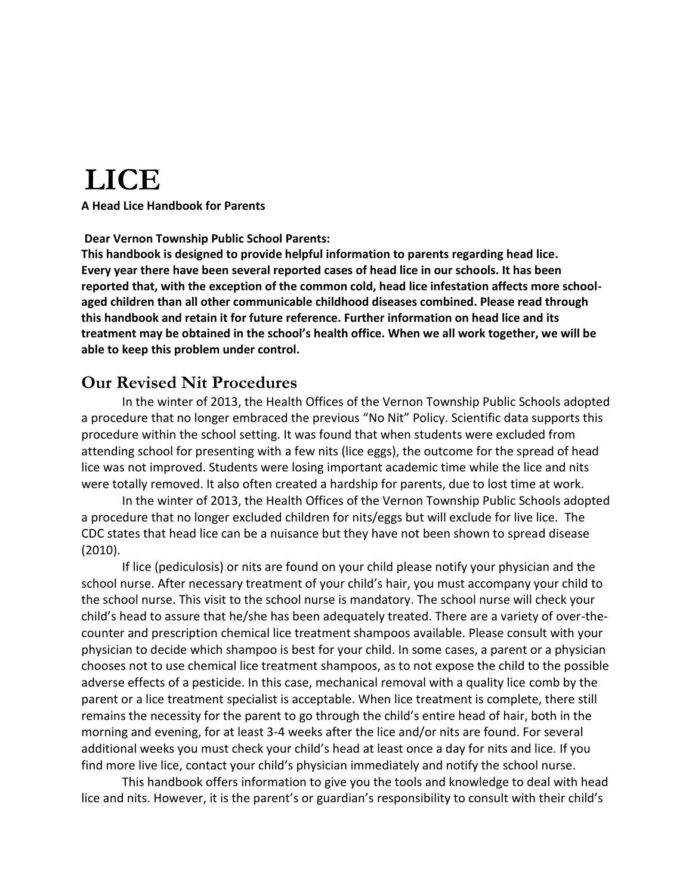# **LICE**

**A Head Lice Handbook for Parents**

#### **Dear Vernon Township Public School Parents:**

**This handbook is designed to provide helpful information to parents regarding head lice. Every year there have been several reported cases of head lice in our schools. It has been reported that, with the exception of the common cold, head lice infestation affects more schoolaged children than all other communicable childhood diseases combined. Please read through this handbook and retain it for future reference. Further information on head lice and its treatment may be obtained in the school's health office. When we all work together, we will be able to keep this problem under control.**

#### **Our Revised Nit Procedures**

In the winter of 2013, the Health Offices of the Vernon Township Public Schools adopted a procedure that no longer embraced the previous "No Nit" Policy. Scientific data supports this procedure within the school setting. It was found that when students were excluded from attending school for presenting with a few nits (lice eggs), the outcome for the spread of head lice was not improved. Students were losing important academic time while the lice and nits were totally removed. It also often created a hardship for parents, due to lost time at work.

In the winter of 2013, the Health Offices of the Vernon Township Public Schools adopted a procedure that no longer excluded children for nits/eggs but will exclude for live lice. The CDC states that head lice can be a nuisance but they have not been shown to spread disease (2010).

If lice (pediculosis) or nits are found on your child please notify your physician and the school nurse. After necessary treatment of your child's hair, you must accompany your child to the school nurse. This visit to the school nurse is mandatory. The school nurse will check your child's head to assure that he/she has been adequately treated. There are a variety of over-thecounter and prescription chemical lice treatment shampoos available. Please consult with your physician to decide which shampoo is best for your child. In some cases, a parent or a physician chooses not to use chemical lice treatment shampoos, as to not expose the child to the possible adverse effects of a pesticide. In this case, mechanical removal with a quality lice comb by the parent or a lice treatment specialist is acceptable. When lice treatment is complete, there still remains the necessity for the parent to go through the child's entire head of hair, both in the morning and evening, for at least 3-4 weeks after the lice and/or nits are found. For several additional weeks you must check your child's head at least once a day for nits and lice. If you find more live lice, contact your child's physician immediately and notify the school nurse.

This handbook offers information to give you the tools and knowledge to deal with head lice and nits. However, it is the parent's or guardian's responsibility to consult with their child's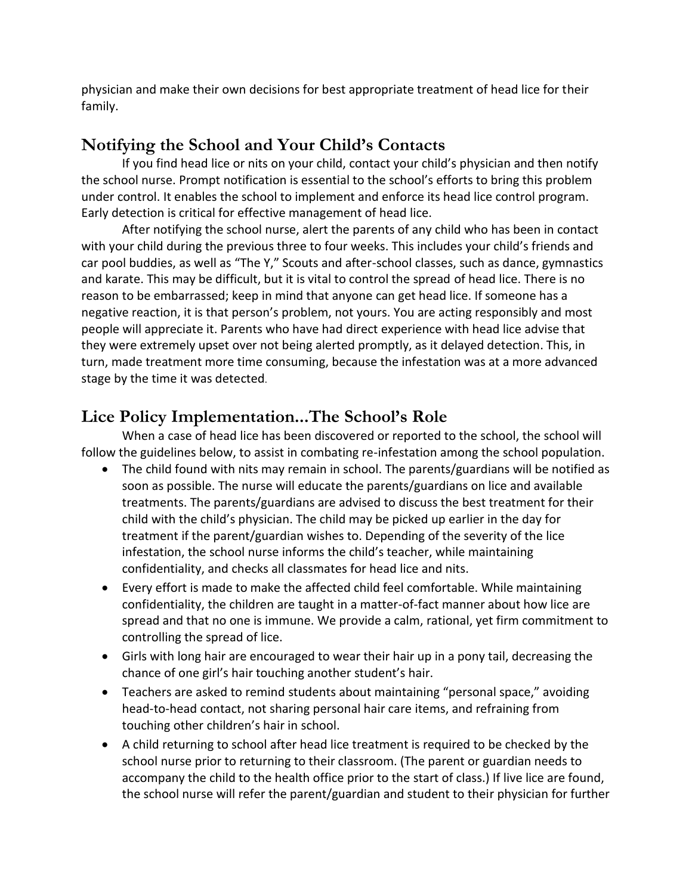physician and make their own decisions for best appropriate treatment of head lice for their family.

## **Notifying the School and Your Child's Contacts**

If you find head lice or nits on your child, contact your child's physician and then notify the school nurse. Prompt notification is essential to the school's efforts to bring this problem under control. It enables the school to implement and enforce its head lice control program. Early detection is critical for effective management of head lice.

After notifying the school nurse, alert the parents of any child who has been in contact with your child during the previous three to four weeks. This includes your child's friends and car pool buddies, as well as "The Y," Scouts and after-school classes, such as dance, gymnastics and karate. This may be difficult, but it is vital to control the spread of head lice. There is no reason to be embarrassed; keep in mind that anyone can get head lice. If someone has a negative reaction, it is that person's problem, not yours. You are acting responsibly and most people will appreciate it. Parents who have had direct experience with head lice advise that they were extremely upset over not being alerted promptly, as it delayed detection. This, in turn, made treatment more time consuming, because the infestation was at a more advanced stage by the time it was detected.

# **Lice Policy Implementation...The School's Role**

When a case of head lice has been discovered or reported to the school, the school will follow the guidelines below, to assist in combating re-infestation among the school population.

- The child found with nits may remain in school. The parents/guardians will be notified as soon as possible. The nurse will educate the parents/guardians on lice and available treatments. The parents/guardians are advised to discuss the best treatment for their child with the child's physician. The child may be picked up earlier in the day for treatment if the parent/guardian wishes to. Depending of the severity of the lice infestation, the school nurse informs the child's teacher, while maintaining confidentiality, and checks all classmates for head lice and nits.
- Every effort is made to make the affected child feel comfortable. While maintaining confidentiality, the children are taught in a matter-of-fact manner about how lice are spread and that no one is immune. We provide a calm, rational, yet firm commitment to controlling the spread of lice.
- Girls with long hair are encouraged to wear their hair up in a pony tail, decreasing the chance of one girl's hair touching another student's hair.
- Teachers are asked to remind students about maintaining "personal space," avoiding head-to-head contact, not sharing personal hair care items, and refraining from touching other children's hair in school.
- A child returning to school after head lice treatment is required to be checked by the school nurse prior to returning to their classroom. (The parent or guardian needs to accompany the child to the health office prior to the start of class.) If live lice are found, the school nurse will refer the parent/guardian and student to their physician for further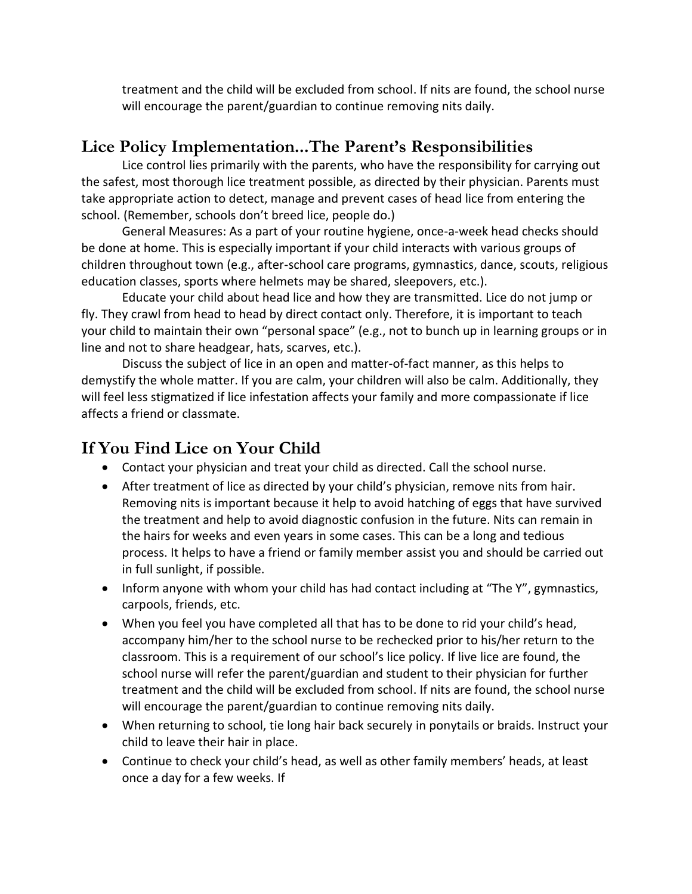treatment and the child will be excluded from school. If nits are found, the school nurse will encourage the parent/guardian to continue removing nits daily.

#### **Lice Policy Implementation...The Parent's Responsibilities**

Lice control lies primarily with the parents, who have the responsibility for carrying out the safest, most thorough lice treatment possible, as directed by their physician. Parents must take appropriate action to detect, manage and prevent cases of head lice from entering the school. (Remember, schools don't breed lice, people do.)

General Measures: As a part of your routine hygiene, once-a-week head checks should be done at home. This is especially important if your child interacts with various groups of children throughout town (e.g., after-school care programs, gymnastics, dance, scouts, religious education classes, sports where helmets may be shared, sleepovers, etc.).

Educate your child about head lice and how they are transmitted. Lice do not jump or fly. They crawl from head to head by direct contact only. Therefore, it is important to teach your child to maintain their own "personal space" (e.g., not to bunch up in learning groups or in line and not to share headgear, hats, scarves, etc.).

Discuss the subject of lice in an open and matter-of-fact manner, as this helps to demystify the whole matter. If you are calm, your children will also be calm. Additionally, they will feel less stigmatized if lice infestation affects your family and more compassionate if lice affects a friend or classmate.

### **If You Find Lice on Your Child**

- Contact your physician and treat your child as directed. Call the school nurse.
- After treatment of lice as directed by your child's physician, remove nits from hair. Removing nits is important because it help to avoid hatching of eggs that have survived the treatment and help to avoid diagnostic confusion in the future. Nits can remain in the hairs for weeks and even years in some cases. This can be a long and tedious process. It helps to have a friend or family member assist you and should be carried out in full sunlight, if possible.
- Inform anyone with whom your child has had contact including at "The Y", gymnastics, carpools, friends, etc.
- When you feel you have completed all that has to be done to rid your child's head, accompany him/her to the school nurse to be rechecked prior to his/her return to the classroom. This is a requirement of our school's lice policy. If live lice are found, the school nurse will refer the parent/guardian and student to their physician for further treatment and the child will be excluded from school. If nits are found, the school nurse will encourage the parent/guardian to continue removing nits daily.
- When returning to school, tie long hair back securely in ponytails or braids. Instruct your child to leave their hair in place.
- Continue to check your child's head, as well as other family members' heads, at least once a day for a few weeks. If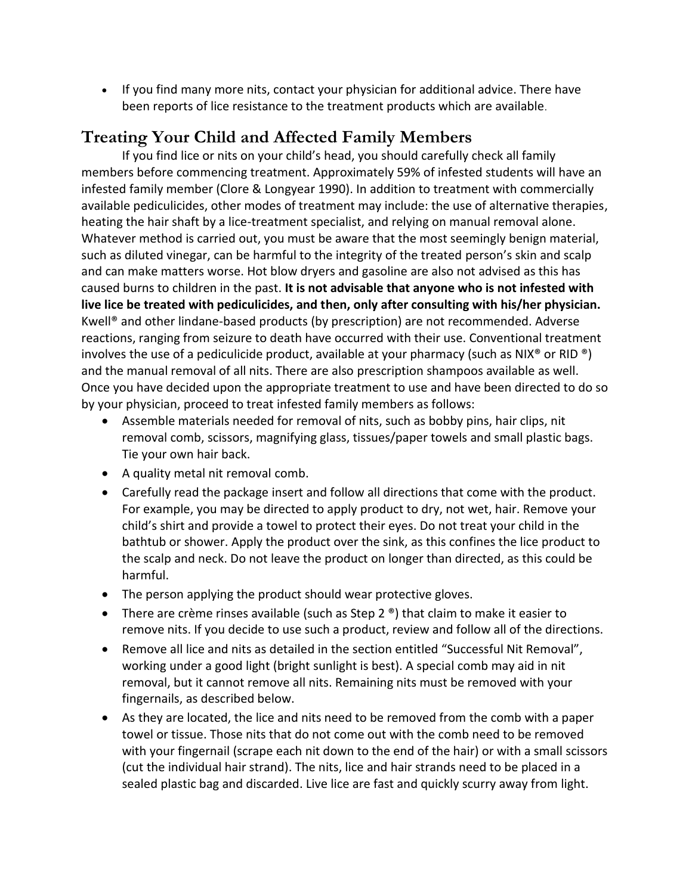• If you find many more nits, contact your physician for additional advice. There have been reports of lice resistance to the treatment products which are available.

## **Treating Your Child and Affected Family Members**

If you find lice or nits on your child's head, you should carefully check all family members before commencing treatment. Approximately 59% of infested students will have an infested family member (Clore & Longyear 1990). In addition to treatment with commercially available pediculicides, other modes of treatment may include: the use of alternative therapies, heating the hair shaft by a lice-treatment specialist, and relying on manual removal alone. Whatever method is carried out, you must be aware that the most seemingly benign material, such as diluted vinegar, can be harmful to the integrity of the treated person's skin and scalp and can make matters worse. Hot blow dryers and gasoline are also not advised as this has caused burns to children in the past. **It is not advisable that anyone who is not infested with live lice be treated with pediculicides, and then, only after consulting with his/her physician.**  Kwell® and other lindane-based products (by prescription) are not recommended. Adverse reactions, ranging from seizure to death have occurred with their use. Conventional treatment involves the use of a pediculicide product, available at your pharmacy (such as NIX<sup>®</sup> or RID <sup>®</sup>) and the manual removal of all nits. There are also prescription shampoos available as well. Once you have decided upon the appropriate treatment to use and have been directed to do so by your physician, proceed to treat infested family members as follows:

- Assemble materials needed for removal of nits, such as bobby pins, hair clips, nit removal comb, scissors, magnifying glass, tissues/paper towels and small plastic bags. Tie your own hair back.
- A quality metal nit removal comb.
- Carefully read the package insert and follow all directions that come with the product. For example, you may be directed to apply product to dry, not wet, hair. Remove your child's shirt and provide a towel to protect their eyes. Do not treat your child in the bathtub or shower. Apply the product over the sink, as this confines the lice product to the scalp and neck. Do not leave the product on longer than directed, as this could be harmful.
- The person applying the product should wear protective gloves.
- There are crème rinses available (such as Step 2  $\degree$ ) that claim to make it easier to remove nits. If you decide to use such a product, review and follow all of the directions.
- Remove all lice and nits as detailed in the section entitled "Successful Nit Removal", working under a good light (bright sunlight is best). A special comb may aid in nit removal, but it cannot remove all nits. Remaining nits must be removed with your fingernails, as described below.
- As they are located, the lice and nits need to be removed from the comb with a paper towel or tissue. Those nits that do not come out with the comb need to be removed with your fingernail (scrape each nit down to the end of the hair) or with a small scissors (cut the individual hair strand). The nits, lice and hair strands need to be placed in a sealed plastic bag and discarded. Live lice are fast and quickly scurry away from light.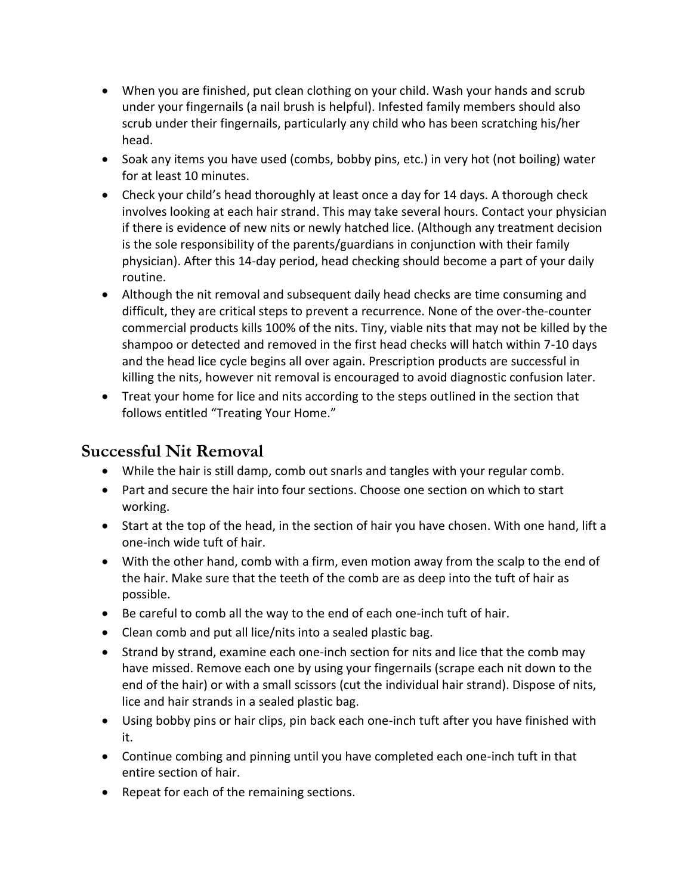- When you are finished, put clean clothing on your child. Wash your hands and scrub under your fingernails (a nail brush is helpful). Infested family members should also scrub under their fingernails, particularly any child who has been scratching his/her head.
- Soak any items you have used (combs, bobby pins, etc.) in very hot (not boiling) water for at least 10 minutes.
- Check your child's head thoroughly at least once a day for 14 days. A thorough check involves looking at each hair strand. This may take several hours. Contact your physician if there is evidence of new nits or newly hatched lice. (Although any treatment decision is the sole responsibility of the parents/guardians in conjunction with their family physician). After this 14-day period, head checking should become a part of your daily routine.
- Although the nit removal and subsequent daily head checks are time consuming and difficult, they are critical steps to prevent a recurrence. None of the over-the-counter commercial products kills 100% of the nits. Tiny, viable nits that may not be killed by the shampoo or detected and removed in the first head checks will hatch within 7-10 days and the head lice cycle begins all over again. Prescription products are successful in killing the nits, however nit removal is encouraged to avoid diagnostic confusion later.
- Treat your home for lice and nits according to the steps outlined in the section that follows entitled "Treating Your Home."

### **Successful Nit Removal**

- While the hair is still damp, comb out snarls and tangles with your regular comb.
- Part and secure the hair into four sections. Choose one section on which to start working.
- Start at the top of the head, in the section of hair you have chosen. With one hand, lift a one-inch wide tuft of hair.
- With the other hand, comb with a firm, even motion away from the scalp to the end of the hair. Make sure that the teeth of the comb are as deep into the tuft of hair as possible.
- Be careful to comb all the way to the end of each one-inch tuft of hair.
- Clean comb and put all lice/nits into a sealed plastic bag.
- Strand by strand, examine each one-inch section for nits and lice that the comb may have missed. Remove each one by using your fingernails (scrape each nit down to the end of the hair) or with a small scissors (cut the individual hair strand). Dispose of nits, lice and hair strands in a sealed plastic bag.
- Using bobby pins or hair clips, pin back each one-inch tuft after you have finished with it.
- Continue combing and pinning until you have completed each one-inch tuft in that entire section of hair.
- Repeat for each of the remaining sections.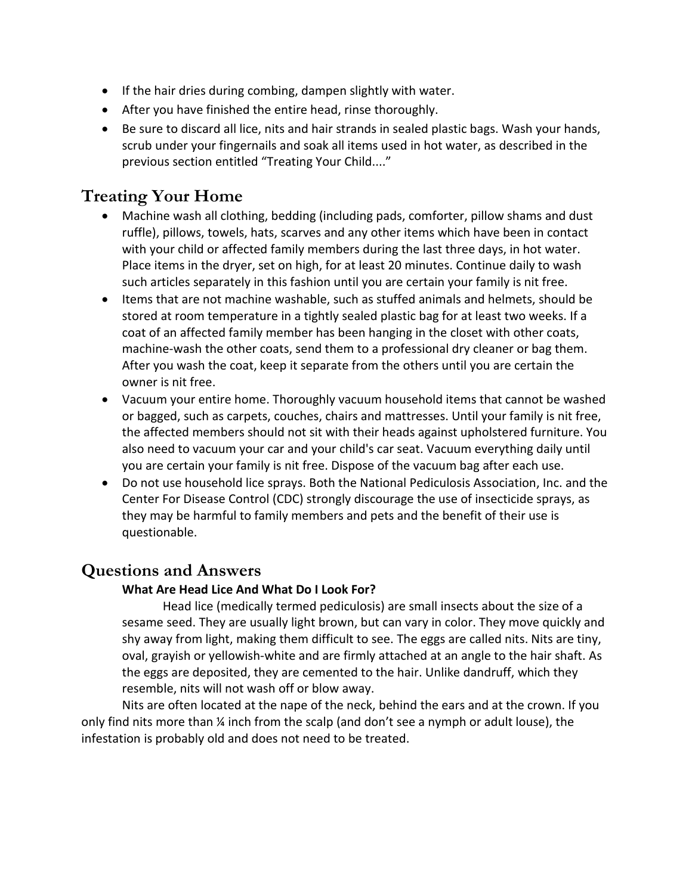- If the hair dries during combing, dampen slightly with water.
- After you have finished the entire head, rinse thoroughly.
- Be sure to discard all lice, nits and hair strands in sealed plastic bags. Wash your hands, scrub under your fingernails and soak all items used in hot water, as described in the previous section entitled "Treating Your Child...."

## **Treating Your Home**

- Machine wash all clothing, bedding (including pads, comforter, pillow shams and dust ruffle), pillows, towels, hats, scarves and any other items which have been in contact with your child or affected family members during the last three days, in hot water. Place items in the dryer, set on high, for at least 20 minutes. Continue daily to wash such articles separately in this fashion until you are certain your family is nit free.
- Items that are not machine washable, such as stuffed animals and helmets, should be stored at room temperature in a tightly sealed plastic bag for at least two weeks. If a coat of an affected family member has been hanging in the closet with other coats, machine-wash the other coats, send them to a professional dry cleaner or bag them. After you wash the coat, keep it separate from the others until you are certain the owner is nit free.
- Vacuum your entire home. Thoroughly vacuum household items that cannot be washed or bagged, such as carpets, couches, chairs and mattresses. Until your family is nit free, the affected members should not sit with their heads against upholstered furniture. You also need to vacuum your car and your child's car seat. Vacuum everything daily until you are certain your family is nit free. Dispose of the vacuum bag after each use.
- Do not use household lice sprays. Both the National Pediculosis Association, Inc. and the Center For Disease Control (CDC) strongly discourage the use of insecticide sprays, as they may be harmful to family members and pets and the benefit of their use is questionable.

### **Questions and Answers**

#### **What Are Head Lice And What Do I Look For?**

Head lice (medically termed pediculosis) are small insects about the size of a sesame seed. They are usually light brown, but can vary in color. They move quickly and shy away from light, making them difficult to see. The eggs are called nits. Nits are tiny, oval, grayish or yellowish-white and are firmly attached at an angle to the hair shaft. As the eggs are deposited, they are cemented to the hair. Unlike dandruff, which they resemble, nits will not wash off or blow away.

Nits are often located at the nape of the neck, behind the ears and at the crown. If you only find nits more than  $\frac{1}{4}$  inch from the scalp (and don't see a nymph or adult louse), the infestation is probably old and does not need to be treated.